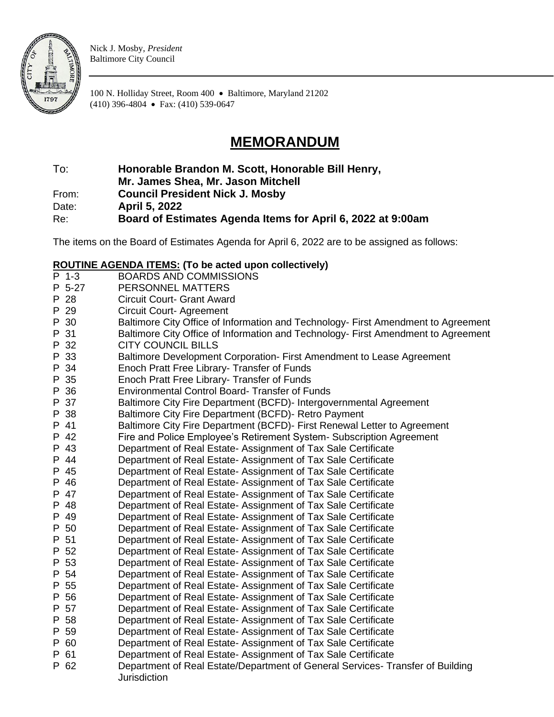

Nick J. Mosby, *President* Baltimore City Council

100 N. Holliday Street, Room 400 • Baltimore, Maryland 21202 (410) 396-4804 • Fax: (410) 539-0647

## **MEMORANDUM**

To: **Honorable Brandon M. Scott, Honorable Bill Henry,** 

**Mr. James Shea, Mr. Jason Mitchell**

From: **Council President Nick J. Mosby**

Date: **April 5, 2022**

Re: **Board of Estimates Agenda Items for April 6, 2022 at 9:00am**

The items on the Board of Estimates Agenda for April 6, 2022 are to be assigned as follows:

## **ROUTINE AGENDA ITEMS: (To be acted upon collectively)**

|   | P 1-3  | <b>BOARDS AND COMMISSIONS</b>                                                                         |
|---|--------|-------------------------------------------------------------------------------------------------------|
|   | P 5-27 | PERSONNEL MATTERS                                                                                     |
|   | P 28   | <b>Circuit Court- Grant Award</b>                                                                     |
|   | P 29   | <b>Circuit Court-Agreement</b>                                                                        |
|   | P 30   | Baltimore City Office of Information and Technology- First Amendment to Agreement                     |
| P | 31     | Baltimore City Office of Information and Technology- First Amendment to Agreement                     |
|   | P 32   | <b>CITY COUNCIL BILLS</b>                                                                             |
|   | P 33   | Baltimore Development Corporation- First Amendment to Lease Agreement                                 |
|   | P 34   | Enoch Pratt Free Library- Transfer of Funds                                                           |
|   | P 35   | Enoch Pratt Free Library- Transfer of Funds                                                           |
|   | P 36   | <b>Environmental Control Board- Transfer of Funds</b>                                                 |
|   | P 37   | Baltimore City Fire Department (BCFD)- Intergovernmental Agreement                                    |
|   | P 38   | Baltimore City Fire Department (BCFD)- Retro Payment                                                  |
|   | P 41   | Baltimore City Fire Department (BCFD) - First Renewal Letter to Agreement                             |
|   | P 42   | Fire and Police Employee's Retirement System- Subscription Agreement                                  |
|   | P 43   | Department of Real Estate- Assignment of Tax Sale Certificate                                         |
|   | P 44   | Department of Real Estate- Assignment of Tax Sale Certificate                                         |
|   | P 45   | Department of Real Estate- Assignment of Tax Sale Certificate                                         |
|   | P 46   | Department of Real Estate- Assignment of Tax Sale Certificate                                         |
|   | P 47   | Department of Real Estate- Assignment of Tax Sale Certificate                                         |
|   | P 48   | Department of Real Estate- Assignment of Tax Sale Certificate                                         |
|   | P 49   | Department of Real Estate- Assignment of Tax Sale Certificate                                         |
|   | P 50   | Department of Real Estate- Assignment of Tax Sale Certificate                                         |
|   | P 51   | Department of Real Estate- Assignment of Tax Sale Certificate                                         |
|   | P 52   | Department of Real Estate- Assignment of Tax Sale Certificate                                         |
|   | P 53   | Department of Real Estate- Assignment of Tax Sale Certificate                                         |
|   | P 54   | Department of Real Estate- Assignment of Tax Sale Certificate                                         |
|   | P 55   | Department of Real Estate- Assignment of Tax Sale Certificate                                         |
|   | P 56   | Department of Real Estate- Assignment of Tax Sale Certificate                                         |
|   | P 57   | Department of Real Estate- Assignment of Tax Sale Certificate                                         |
|   | P 58   | Department of Real Estate- Assignment of Tax Sale Certificate                                         |
|   | P 59   | Department of Real Estate- Assignment of Tax Sale Certificate                                         |
|   | P 60   | Department of Real Estate- Assignment of Tax Sale Certificate                                         |
|   | P 61   | Department of Real Estate- Assignment of Tax Sale Certificate                                         |
|   | P 62   | Department of Real Estate/Department of General Services- Transfer of Building<br><b>Jurisdiction</b> |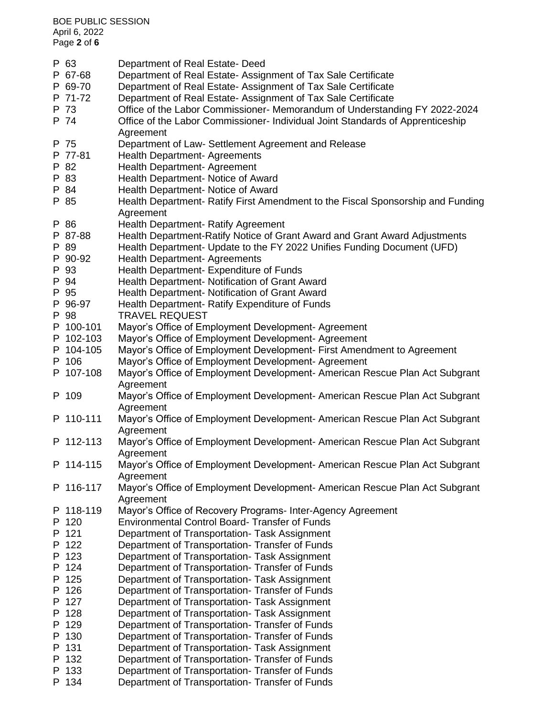BOE PUBLIC SESSION April 6, 2022 Page **2** of **6** P 63 Department of Real Estate- Deed P 67-68 Department of Real Estate- Assignment of Tax Sale Certificate P 69-70 Department of Real Estate- Assignment of Tax Sale Certificate P 71-72 Department of Real Estate- Assignment of Tax Sale Certificate P 73 Office of the Labor Commissioner- Memorandum of Understanding FY 2022-2024 P 74 Office of the Labor Commissioner- Individual Joint Standards of Apprenticeship Agreement P 75 Department of Law- Settlement Agreement and Release P 77-81 Health Department- Agreements P 82 Health Department- Agreement P 83 Health Department- Notice of Award P 84 Health Department- Notice of Award P 85 Health Department- Ratify First Amendment to the Fiscal Sponsorship and Funding Agreement P 86 Health Department- Ratify Agreement P 87-88 Health Department-Ratify Notice of Grant Award and Grant Award Adjustments P 89 Health Department- Update to the FY 2022 Unifies Funding Document (UFD) P 90-92 Health Department- Agreements P 93 Health Department- Expenditure of Funds P 94 Health Department- Notification of Grant Award P 95 Health Department- Notification of Grant Award P 96-97 Health Department- Ratify Expenditure of Funds P 98 TRAVEL REQUEST P 100-101 Mayor's Office of Employment Development- Agreement P 102-103 Mayor's Office of Employment Development- Agreement P 104-105 Mayor's Office of Employment Development- First Amendment to Agreement P 106 Mayor's Office of Employment Development- Agreement P 107-108 Mayor's Office of Employment Development- American Rescue Plan Act Subgrant Agreement P 109 Mayor's Office of Employment Development- American Rescue Plan Act Subgrant **Agreement** P 110-111 Mayor's Office of Employment Development- American Rescue Plan Act Subgrant Agreement P 112-113 Mayor's Office of Employment Development- American Rescue Plan Act Subgrant Agreement P 114-115 Mayor's Office of Employment Development- American Rescue Plan Act Subgrant Agreement P 116-117 Mayor's Office of Employment Development- American Rescue Plan Act Subgrant **Agreement** P 118-119 Mayor's Office of Recovery Programs- Inter-Agency Agreement P 120 Environmental Control Board- Transfer of Funds P 121 Department of Transportation- Task Assignment P 122 Department of Transportation- Transfer of Funds P 123 Department of Transportation- Task Assignment P 124 Department of Transportation- Transfer of Funds P 125 Department of Transportation- Task Assignment P 126 Department of Transportation- Transfer of Funds P 127 Department of Transportation- Task Assignment P 128 Department of Transportation- Task Assignment P 129 Department of Transportation- Transfer of Funds P 130 Department of Transportation- Transfer of Funds P 131 Department of Transportation- Task Assignment P 132 Department of Transportation- Transfer of Funds P 133 Department of Transportation- Transfer of Funds P 134 Department of Transportation- Transfer of Funds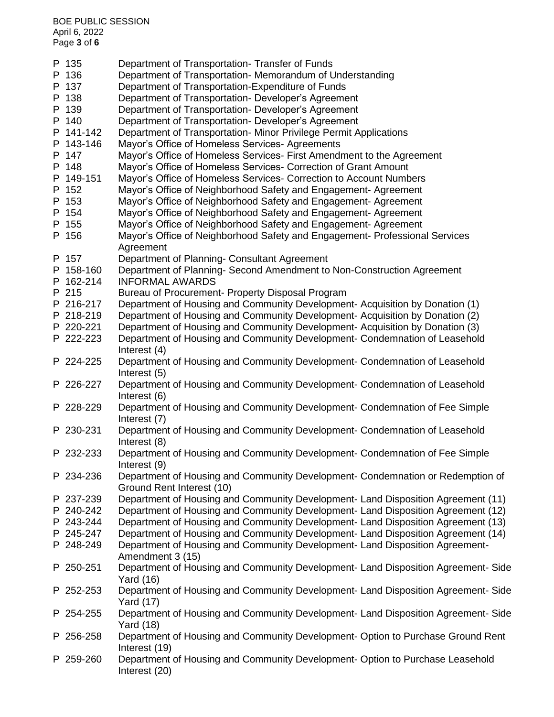| i ayo Juliu |                                                                                                       |
|-------------|-------------------------------------------------------------------------------------------------------|
| P 135       | Department of Transportation-Transfer of Funds                                                        |
| P 136       | Department of Transportation- Memorandum of Understanding                                             |
| P 137       | Department of Transportation-Expenditure of Funds                                                     |
| P 138       | Department of Transportation- Developer's Agreement                                                   |
| P 139       | Department of Transportation- Developer's Agreement                                                   |
| P 140       | Department of Transportation- Developer's Agreement                                                   |
| P 141-142   | Department of Transportation- Minor Privilege Permit Applications                                     |
| P 143-146   | Mayor's Office of Homeless Services- Agreements                                                       |
| P 147       | Mayor's Office of Homeless Services- First Amendment to the Agreement                                 |
| P 148       | Mayor's Office of Homeless Services- Correction of Grant Amount                                       |
| P 149-151   | Mayor's Office of Homeless Services- Correction to Account Numbers                                    |
| P 152       | Mayor's Office of Neighborhood Safety and Engagement-Agreement                                        |
| P 153       | Mayor's Office of Neighborhood Safety and Engagement-Agreement                                        |
| P 154       | Mayor's Office of Neighborhood Safety and Engagement- Agreement                                       |
| P 155       | Mayor's Office of Neighborhood Safety and Engagement-Agreement                                        |
| P 156       | Mayor's Office of Neighborhood Safety and Engagement- Professional Services                           |
|             | Agreement                                                                                             |
| P 157       | Department of Planning- Consultant Agreement                                                          |
| P 158-160   | Department of Planning- Second Amendment to Non-Construction Agreement                                |
| P 162-214   | <b>INFORMAL AWARDS</b>                                                                                |
| P 215       | Bureau of Procurement- Property Disposal Program                                                      |
| P 216-217   | Department of Housing and Community Development- Acquisition by Donation (1)                          |
| P 218-219   | Department of Housing and Community Development-Acquisition by Donation (2)                           |
| P 220-221   | Department of Housing and Community Development- Acquisition by Donation (3)                          |
| P 222-223   | Department of Housing and Community Development- Condemnation of Leasehold<br>Interest (4)            |
| P 224-225   | Department of Housing and Community Development- Condemnation of Leasehold                            |
|             | Interest (5)                                                                                          |
| P 226-227   | Department of Housing and Community Development- Condemnation of Leasehold                            |
|             | Interest (6)                                                                                          |
| P 228-229   | Department of Housing and Community Development- Condemnation of Fee Simple                           |
|             | Interest (7)                                                                                          |
| P 230-231   | Department of Housing and Community Development- Condemnation of Leasehold<br>Interest (8)            |
| P 232-233   | Department of Housing and Community Development- Condemnation of Fee Simple                           |
|             | Interest (9)                                                                                          |
| P 234-236   | Department of Housing and Community Development- Condemnation or Redemption of                        |
|             | Ground Rent Interest (10)                                                                             |
| P 237-239   | Department of Housing and Community Development- Land Disposition Agreement (11)                      |
| P 240-242   | Department of Housing and Community Development- Land Disposition Agreement (12)                      |
| P 243-244   | Department of Housing and Community Development- Land Disposition Agreement (13)                      |
| P 245-247   | Department of Housing and Community Development- Land Disposition Agreement (14)                      |
| P 248-249   | Department of Housing and Community Development- Land Disposition Agreement-<br>Amendment 3 (15)      |
| P 250-251   | Department of Housing and Community Development- Land Disposition Agreement- Side                     |
|             | Yard (16)                                                                                             |
| P 252-253   | Department of Housing and Community Development- Land Disposition Agreement- Side<br><b>Yard (17)</b> |
| P 254-255   | Department of Housing and Community Development- Land Disposition Agreement- Side                     |
| P 256-258   | <b>Yard (18)</b><br>Department of Housing and Community Development-Option to Purchase Ground Rent    |
|             | Interest (19)                                                                                         |
| P 259-260   | Department of Housing and Community Development- Option to Purchase Leasehold<br>Interest (20)        |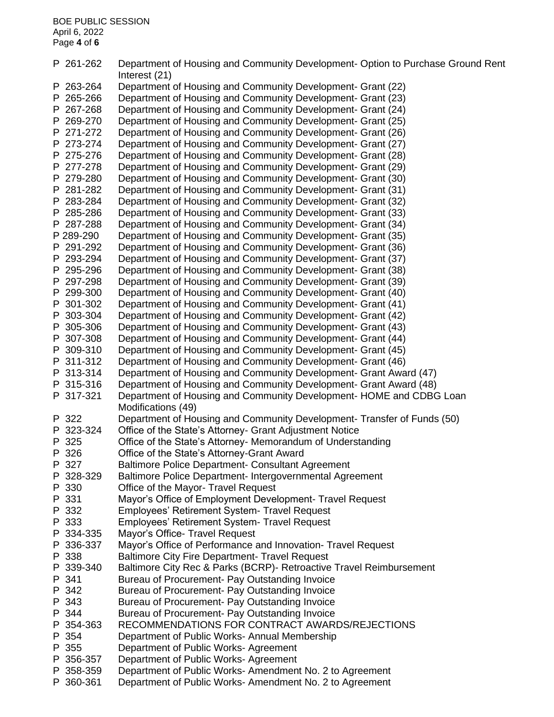BOE PUBLIC SESSION April 6, 2022 Page **4** of **6** P 261-262 Department of Housing and Community Development- Option to Purchase Ground Rent Interest (21) P 263-264 Department of Housing and Community Development- Grant (22) P 265-266 Department of Housing and Community Development- Grant (23) P 267-268 Department of Housing and Community Development- Grant (24) P 269-270 Department of Housing and Community Development- Grant (25) P 271-272 Department of Housing and Community Development- Grant (26) P 273-274 Department of Housing and Community Development- Grant (27) P 275-276 Department of Housing and Community Development- Grant (28) P 277-278 Department of Housing and Community Development- Grant (29) P 279-280 Department of Housing and Community Development- Grant (30) P 281-282 Department of Housing and Community Development- Grant (31) P 283-284 Department of Housing and Community Development- Grant (32) P 285-286 Department of Housing and Community Development- Grant (33) P 287-288 Department of Housing and Community Development- Grant (34) P 289-290 Department of Housing and Community Development- Grant (35) P 291-292 Department of Housing and Community Development- Grant (36) P 293-294 Department of Housing and Community Development- Grant (37) P 295-296 Department of Housing and Community Development- Grant (38) P 297-298 Department of Housing and Community Development- Grant (39) P 299-300 Department of Housing and Community Development- Grant (40) P 301-302 Department of Housing and Community Development- Grant (41) P 303-304 Department of Housing and Community Development- Grant (42) P 305-306 Department of Housing and Community Development- Grant (43) P 307-308 Department of Housing and Community Development- Grant (44) P 309-310 Department of Housing and Community Development- Grant (45) P 311-312 Department of Housing and Community Development- Grant (46) P 313-314 Department of Housing and Community Development- Grant Award (47) P 315-316 Department of Housing and Community Development- Grant Award (48) P 317-321 Department of Housing and Community Development- HOME and CDBG Loan Modifications (49) P 322 Department of Housing and Community Development- Transfer of Funds (50) P 323-324 Office of the State's Attorney- Grant Adjustment Notice P 325 Office of the State's Attorney- Memorandum of Understanding P 326 Office of the State's Attorney-Grant Award P 327 Baltimore Police Department- Consultant Agreement P 328-329 Baltimore Police Department- Intergovernmental Agreement P 330 Office of the Mayor- Travel Request P 331 Mayor's Office of Employment Development- Travel Request P 332 Employees' Retirement System- Travel Request P 333 Employees' Retirement System- Travel Request P 334-335 Mayor's Office- Travel Request P 336-337 Mayor's Office of Performance and Innovation- Travel Request P 338 Baltimore City Fire Department- Travel Request P 339-340 Baltimore City Rec & Parks (BCRP)- Retroactive Travel Reimbursement P 341 Bureau of Procurement- Pay Outstanding Invoice P 342 Bureau of Procurement- Pay Outstanding Invoice P 343 Bureau of Procurement- Pay Outstanding Invoice P 344 Bureau of Procurement- Pay Outstanding Invoice P 354-363 RECOMMENDATIONS FOR CONTRACT AWARDS/REJECTIONS P 354 Department of Public Works- Annual Membership P 355 Department of Public Works- Agreement P 356-357 Department of Public Works- Agreement P 358-359 Department of Public Works- Amendment No. 2 to Agreement P 360-361 Department of Public Works- Amendment No. 2 to Agreement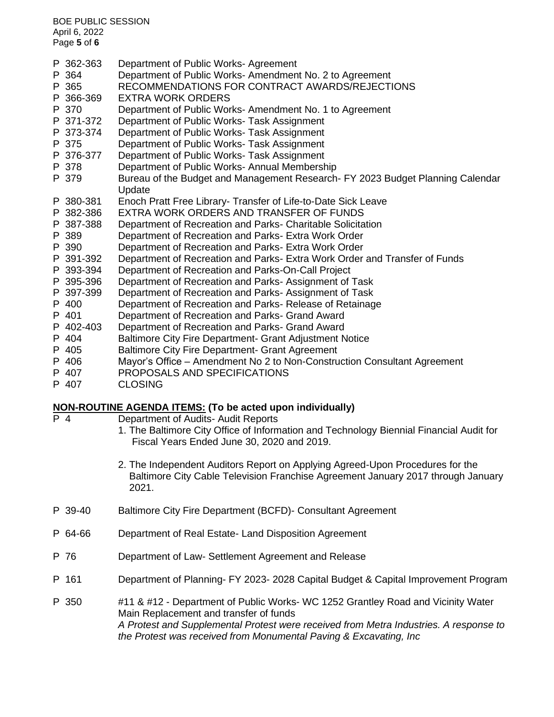| <b>BOE PUBLIC SESSION</b><br>April 6, 2022<br>Page 5 of 6 |           |                                                                                |  |  |  |
|-----------------------------------------------------------|-----------|--------------------------------------------------------------------------------|--|--|--|
|                                                           | P 362-363 | Department of Public Works- Agreement                                          |  |  |  |
|                                                           | P 364     | Department of Public Works- Amendment No. 2 to Agreement                       |  |  |  |
|                                                           | P 365     | RECOMMENDATIONS FOR CONTRACT AWARDS/REJECTIONS                                 |  |  |  |
|                                                           | P 366-369 | <b>EXTRA WORK ORDERS</b>                                                       |  |  |  |
|                                                           | P 370     | Department of Public Works- Amendment No. 1 to Agreement                       |  |  |  |
|                                                           | P 371-372 | Department of Public Works- Task Assignment                                    |  |  |  |
|                                                           | P 373-374 | Department of Public Works- Task Assignment                                    |  |  |  |
|                                                           | P 375     | Department of Public Works- Task Assignment                                    |  |  |  |
|                                                           | P 376-377 | Department of Public Works- Task Assignment                                    |  |  |  |
|                                                           | P 378     | Department of Public Works- Annual Membership                                  |  |  |  |
|                                                           | P 379     | Bureau of the Budget and Management Research- FY 2023 Budget Planning Calendar |  |  |  |
|                                                           |           | Update                                                                         |  |  |  |
|                                                           | P 380-381 | Enoch Pratt Free Library- Transfer of Life-to-Date Sick Leave                  |  |  |  |
|                                                           | P 382-386 | EXTRA WORK ORDERS AND TRANSFER OF FUNDS                                        |  |  |  |
|                                                           | P 387-388 | Department of Recreation and Parks- Charitable Solicitation                    |  |  |  |
|                                                           | P 389     | Department of Recreation and Parks- Extra Work Order                           |  |  |  |
|                                                           | P 390     | Department of Recreation and Parks- Extra Work Order                           |  |  |  |
|                                                           | P 391-392 | Department of Recreation and Parks- Extra Work Order and Transfer of Funds     |  |  |  |
|                                                           | P 393-394 | Department of Recreation and Parks-On-Call Project                             |  |  |  |
|                                                           | P 395-396 | Department of Recreation and Parks-Assignment of Task                          |  |  |  |
|                                                           | P 397-399 | Department of Recreation and Parks-Assignment of Task                          |  |  |  |
|                                                           | P 400     | Department of Recreation and Parks- Release of Retainage                       |  |  |  |
|                                                           | P 401     | Department of Recreation and Parks- Grand Award                                |  |  |  |
|                                                           | P 402-403 | Department of Recreation and Parks- Grand Award                                |  |  |  |
|                                                           | P 404     | Baltimore City Fire Department- Grant Adjustment Notice                        |  |  |  |
|                                                           | P 405     | <b>Baltimore City Fire Department- Grant Agreement</b>                         |  |  |  |
|                                                           | P 406     | Mayor's Office - Amendment No 2 to Non-Construction Consultant Agreement       |  |  |  |
|                                                           | P 407     | PROPOSALS AND SPECIFICATIONS                                                   |  |  |  |
|                                                           | P 407     | <b>CLOSING</b>                                                                 |  |  |  |

## **NON-ROUTINE AGENDA ITEMS: (To be acted upon individually)**

- P 4 Department of Audits- Audit Reports
	- 1. The Baltimore City Office of Information and Technology Biennial Financial Audit for Fiscal Years Ended June 30, 2020 and 2019.
	- 2. The Independent Auditors Report on Applying Agreed-Upon Procedures for the Baltimore City Cable Television Franchise Agreement January 2017 through January 2021.
- P 39-40 Baltimore City Fire Department (BCFD)- Consultant Agreement
- P 64-66 Department of Real Estate- Land Disposition Agreement
- P 76 Department of Law- Settlement Agreement and Release
- P 161 Department of Planning- FY 2023- 2028 Capital Budget & Capital Improvement Program
- P 350 #11 & #12 Department of Public Works- WC 1252 Grantley Road and Vicinity Water Main Replacement and transfer of funds *A Protest and Supplemental Protest were received from Metra Industries. A response to the Protest was received from Monumental Paving & Excavating, Inc*